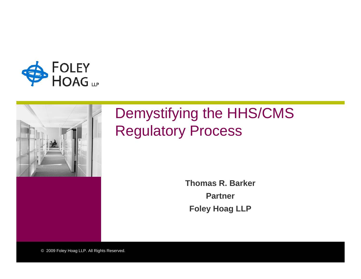



#### Demystifying the HHS/CMS Regulatory Process

**Thomas R. BarkerPartnerFoley Hoag LLP**

© 2009 Foley Hoag LLP. All Rights Reserved.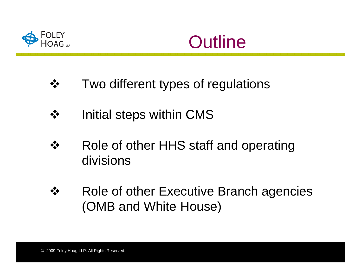



- $\frac{1}{2}$ Two different types of regulations
- $\frac{1}{2}$ Initial steps within CMS
- $\frac{1}{2}$  Role of other HHS staff and operating divisions
- $\frac{1}{2}$  Role of other Executive Branch agencies (OMB and White House)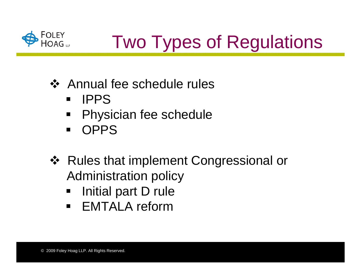

# Two Types of Regulations

- Annual fee schedule rules
	- $\blacksquare$ IPPS
	- $\blacksquare$ Physician fee schedule
	- $\blacksquare$ **OPPS**
- Rules that implement Congressional or Administration policy
	- $\blacksquare$ Initial part D rule
	- $\blacksquare$ EMTALA reform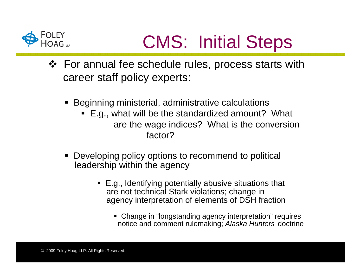

### CMS: Initial Steps

- For annual fee schedule rules, process starts with career staff policy experts:
	- Beginning ministerial, administrative calculations
		- E.g., what will be the standardized amount? What are the wage indices? What is the conversion factor?
	- $\blacksquare$  Developing policy options to recommend to political leadership within the agency
		- E.g., Identifying potentially abusive situations that are not technical Stark violations; change in agency interpretation of elements of DSH fraction
			- Change in "longstanding agency interpretation" requires notice and comment rulemaking; *Alaska Hunters* doctrine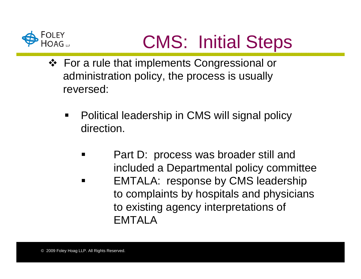

## CMS: Initial Steps

- For a rule that implements Congressional or administration policy, the process is usually reversed:
	- $\blacksquare$  Political leadership in CMS will signal policy direction.
		- ٠ Part D: process was broader still and included a Departmental policy committee  $\blacksquare$  EMTALA: response by CMS leadership to complaints by hospitals and physicians to existing agency interpretations of EMTALA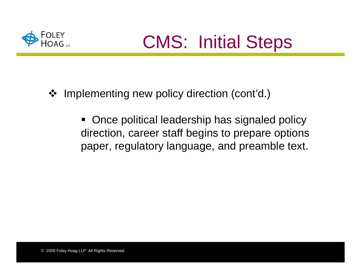

- $\frac{1}{2}$  Implementing new policy direction (cont'd.)
	- $\blacksquare$  Once political leadership has signaled policy direction, career staff begins to prepare options paper, regulatory language, and preamble text.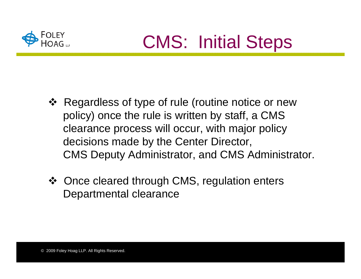

- ❖ Regardless of type of rule (routine notice or new policy) once the rule is written by staff, a CMS clearance process will occur, with major policy decisions made by the Center Director, CMS Deputy Administrator, and CMS Administrator.
- Once cleared through CMS, regulation enters Departmental clearance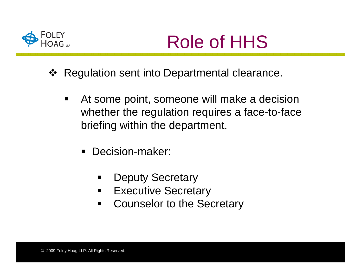

- ❖ Regulation sent into Departmental clearance.
	- $\blacksquare$  At some point, someone will make a decision whether the regulation requires a face-to-face briefing within the department.
		- **Decision-maker:** 
			- $\blacksquare$ Deputy Secretary
			- $\blacksquare$ Executive Secretary
			- $\blacksquare$ Counselor to the Secretary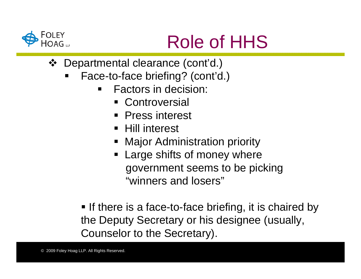

- Departmental clearance (cont'd.)
	- ٠ Face-to-face briefing? (cont'd.)
		- $\blacksquare$  Factors in decision:
			- Controversial
			- $\blacksquare$ Press interest
			- **Hill interest**
			- ٠ Major Administration priority
			- **Example Shifts of money where** government seems to be picking "winners and losers"

**If there is a face-to-face briefing, it is chaired by** the Deputy Secretary or his designee (usually, Counselor to the Secretary).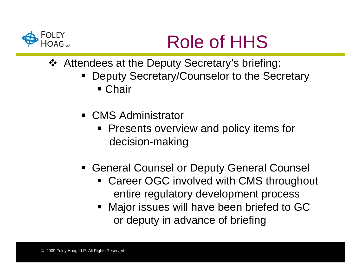

- Attendees at the Deputy Secretary's briefing:
	- ٠ Deputy Secretary/Counselor to the Secretary
		- Chair
	- CMS Administrator
		- Presents overview and policy items for decision-making
	- **Example 2 General Counsel or Deputy General Counsel** 
		- **Example 2 Career OGC involved with CMS throughout** entire regulatory development process
		- **Major issues will have been briefed to GC** or deputy in advance of briefing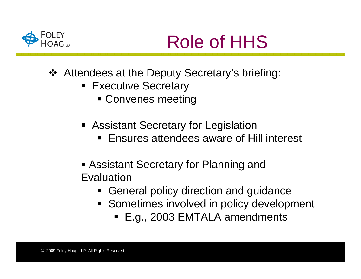

- Attendees at the Deputy Secretary's briefing:
	- **Executive Secretary** 
		- Convenes meeting
	- **Assistant Secretary for Legislation** 
		- Ensures attendees aware of Hill interest
	- **Exaginary Assistant Secretary for Planning and**
	- Evaluation
		- **Example 1 General policy direction and guidance**
		- **Sometimes involved in policy development** 
			- E.g., 2003 EMTALA amendments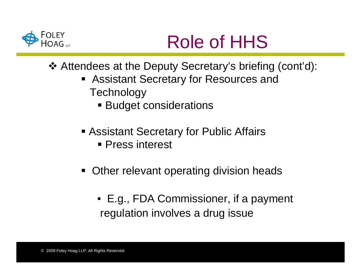

- Attendees at the Deputy Secretary's briefing (cont'd):
	- Assistant Secretary for Resources and **Technology** 
		- **Budget considerations**
	- Assistant Secretary for Public Affairs **Press interest**
	- **Other relevant operating division heads** 
		- E.g., FDA Commissioner, if a payment regulation involves a drug issue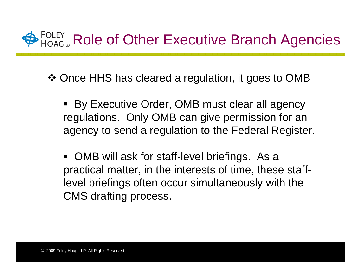

Once HHS has cleared a regulation, it goes to OMB

- п By Executive Order, OMB must clear all agency regulations. Only OMB can give permission for an agency to send a regulation to the Federal Register.
- OMB will ask for staff-level briefings. As a practical matter, in the interests of time, these stafflevel briefings often occur simultaneously with the CMS drafting process.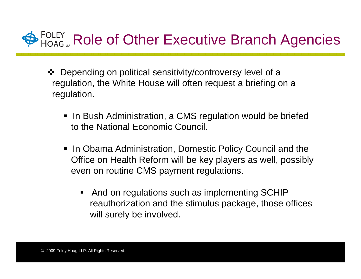#### **PROLEY** Role of Other Executive Branch Agencies

- Depending on political sensitivity/controversy level of a regulation, the White House will often request a briefing on a regulation.
	- **In Bush Administration, a CMS regulation would be briefed** to the National Economic Council.
	- In Obama Administration, Domestic Policy Council and the Office on Health Reform will be key players as well, possibly even on routine CMS payment regulations.
		- And on regulations such as implementing SCHIP reauthorization and the stimulus package, those offices will surely be involved.